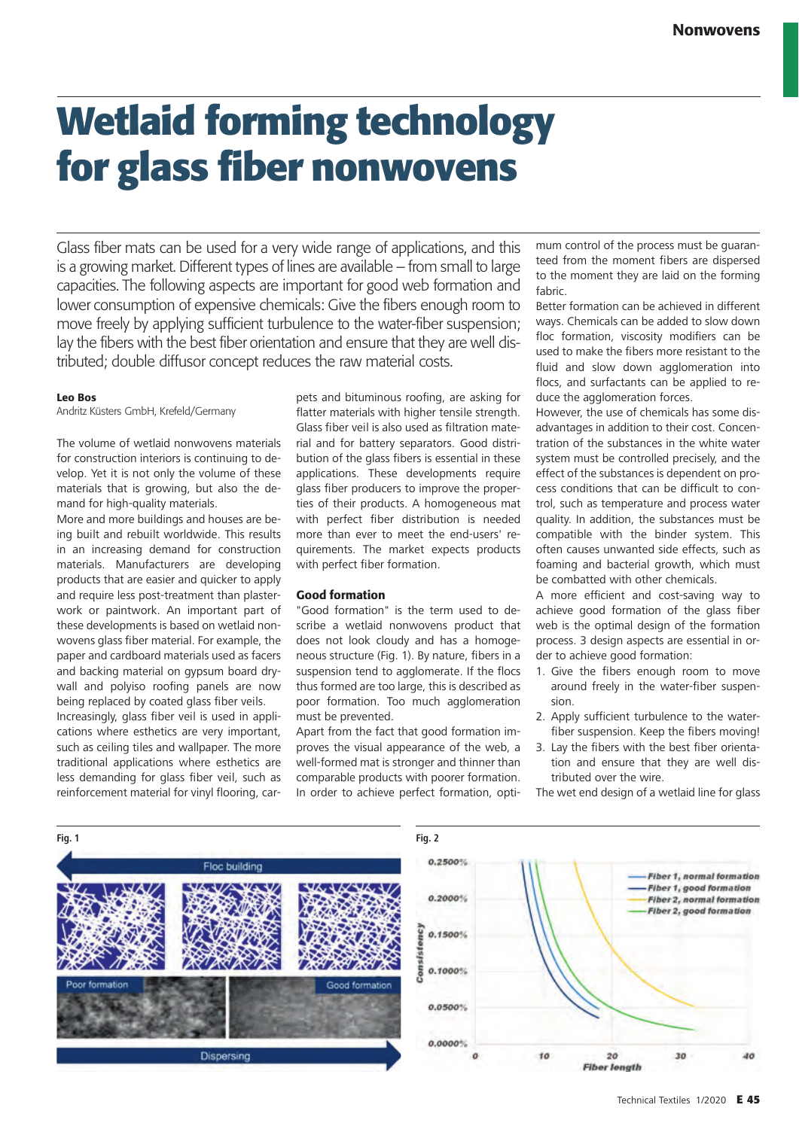# **Wetlaid forming technology for glass fiber nonwovens**

Glass fiber mats can be used for a very wide range of applications, and this is a growing market. Different types of lines are available – from small to large capacities. The following aspects are important for good web formation and lower consumption of expensive chemicals: Give the fibers enough room to move freely by applying sufficient turbulence to the water-fiber suspension; lay the fibers with the best fiber orientation and ensure that they are well distributed; double diffusor concept reduces the raw material costs.

#### Leo Bos

Andritz Küsters GmbH, Krefeld/Germany

The volume of wetlaid nonwovens materials for construction interiors is continuing to develop. Yet it is not only the volume of these materials that is growing, but also the demand for high-quality materials.

More and more buildings and houses are being built and rebuilt worldwide. This results in an increasing demand for construction materials. Manufacturers are developing products that are easier and quicker to apply and require less post-treatment than plasterwork or paintwork. An important part of these developments is based on wetlaid nonwovens glass fiber material. For example, the paper and cardboard materials used as facers and backing material on gypsum board drywall and polyiso roofing panels are now being replaced by coated glass fiber veils.

Increasingly, glass fiber veil is used in applications where esthetics are very important, such as ceiling tiles and wallpaper. The more traditional applications where esthetics are less demanding for glass fiber veil, such as reinforcement material for vinyl flooring, carpets and bituminous roofing, are asking for flatter materials with higher tensile strength. Glass fiber veil is also used as filtration material and for battery separators. Good distribution of the glass fibers is essential in these applications. These developments require glass fiber producers to improve the properties of their products. A homogeneous mat with perfect fiber distribution is needed more than ever to meet the end-users' requirements. The market expects products with perfect fiber formation.

#### Good formation

"Good formation" is the term used to describe a wetlaid nonwovens product that does not look cloudy and has a homogeneous structure (Fig. 1). By nature, fibers in a suspension tend to agglomerate. If the flocs thus formed are too large, this is described as poor formation. Too much agglomeration must be prevented.

Apart from the fact that good formation improves the visual appearance of the web, a well-formed mat is stronger and thinner than comparable products with poorer formation. In order to achieve perfect formation, optimum control of the process must be guaranteed from the moment fibers are dispersed to the moment they are laid on the forming fabric.

Better formation can be achieved in different ways. Chemicals can be added to slow down floc formation, viscosity modifiers can be used to make the fibers more resistant to the fluid and slow down agglomeration into flocs, and surfactants can be applied to reduce the agglomeration forces.

However, the use of chemicals has some disadvantages in addition to their cost. Concentration of the substances in the white water system must be controlled precisely, and the effect of the substances is dependent on process conditions that can be difficult to control, such as temperature and process water quality. In addition, the substances must be compatible with the binder system. This often causes unwanted side effects, such as foaming and bacterial growth, which must be combatted with other chemicals.

A more efficient and cost-saving way to achieve good formation of the glass fiber web is the optimal design of the formation process. 3 design aspects are essential in order to achieve good formation:

- 1. Give the fibers enough room to move around freely in the water-fiber suspension.
- 2. Apply sufficient turbulence to the waterfiber suspension. Keep the fibers moving!
- 3. Lay the fibers with the best fiber orientation and ensure that they are well distributed over the wire.

The wet end design of a wetlaid line for glass

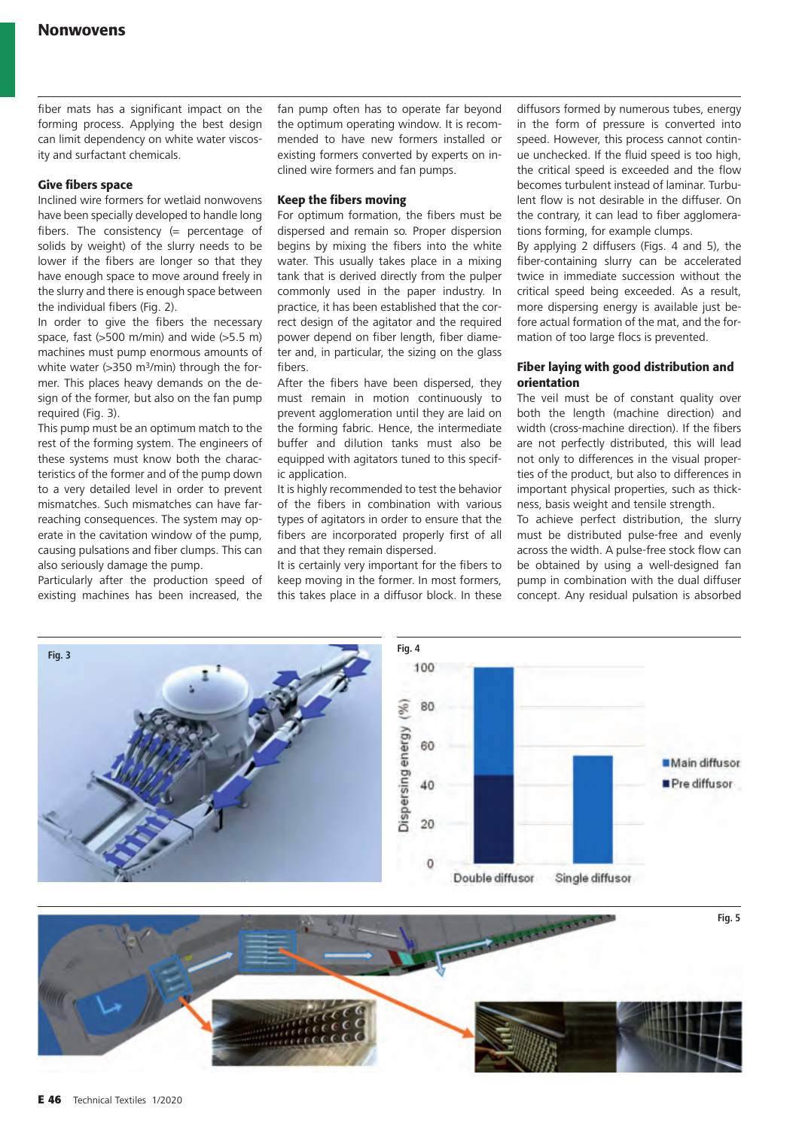fiber mats has a significant impact on the forming process. Applying the best design can limit dependency on white water viscosity and surfactant chemicals.

## Give fibers space

Inclined wire formers for wetlaid nonwovens have been specially developed to handle long fibers. The consistency (= percentage of solids by weight) of the slurry needs to be lower if the fibers are longer so that they have enough space to move around freely in the slurry and there is enough space between the individual fibers (Fig. 2).

In order to give the fibers the necessary space, fast (>500 m/min) and wide (>5.5 m) machines must pump enormous amounts of white water (>350 m<sup>3</sup>/min) through the former. This places heavy demands on the design of the former, but also on the fan pump required (Fig. 3).

This pump must be an optimum match to the rest of the forming system. The engineers of these systems must know both the characteristics of the former and of the pump down to a very detailed level in order to prevent mismatches. Such mismatches can have farreaching consequences. The system may operate in the cavitation window of the pump, causing pulsations and fiber clumps. This can also seriously damage the pump.

Particularly after the production speed of existing machines has been increased, the

fan pump often has to operate far beyond the optimum operating window. It is recommended to have new formers installed or existing formers converted by experts on inclined wire formers and fan pumps.

## Keep the fibers moving

For optimum formation, the fibers must be dispersed and remain so. Proper dispersion begins by mixing the fibers into the white water. This usually takes place in a mixing tank that is derived directly from the pulper commonly used in the paper industry. In practice, it has been established that the correct design of the agitator and the required power depend on fiber length, fiber diameter and, in particular, the sizing on the glass fibers.

After the fibers have been dispersed, they must remain in motion continuously to prevent agglomeration until they are laid on the forming fabric. Hence, the intermediate buffer and dilution tanks must also be equipped with agitators tuned to this specific application.

It is highly recommended to test the behavior of the fibers in combination with various types of agitators in order to ensure that the fibers are incorporated properly first of all and that they remain dispersed.

It is certainly very important for the fibers to keep moving in the former. In most formers, this takes place in a diffusor block. In these

diffusors formed by numerous tubes, energy in the form of pressure is converted into speed. However, this process cannot continue unchecked. If the fluid speed is too high, the critical speed is exceeded and the flow becomes turbulent instead of laminar. Turbulent flow is not desirable in the diffuser. On the contrary, it can lead to fiber agglomerations forming, for example clumps.

By applying 2 diffusers (Figs. 4 and 5), the fiber-containing slurry can be accelerated twice in immediate succession without the critical speed being exceeded. As a result, more dispersing energy is available just before actual formation of the mat, and the formation of too large flocs is prevented.

## Fiber laying with good distribution and orientation

The veil must be of constant quality over both the length (machine direction) and width (cross-machine direction). If the fibers are not perfectly distributed, this will lead not only to differences in the visual properties of the product, but also to differences in important physical properties, such as thickness, basis weight and tensile strength.

To achieve perfect distribution, the slurry must be distributed pulse-free and evenly across the width. A pulse-free stock flow can be obtained by using a well-designed fan pump in combination with the dual diffuser concept. Any residual pulsation is absorbed